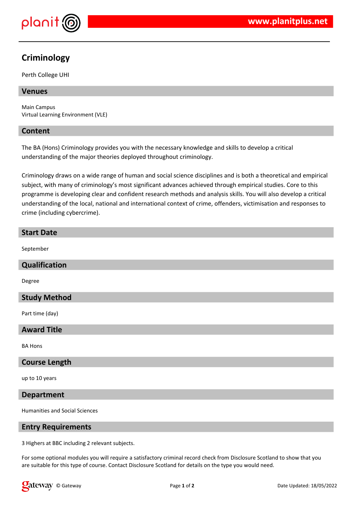

# **Criminology**

Perth College UHI

# **Venues**

Main Campus Virtual Learning Environment (VLE)

## **Content**

The BA (Hons) Criminology provides you with the necessary knowledge and skills to develop a critical understanding of the major theories deployed throughout criminology.

Criminology draws on a wide range of human and social science disciplines and is both a theoretical and empirical subject, with many of criminology's most significant advances achieved through empirical studies. Core to this programme is developing clear and confident research methods and analysis skills. You will also develop a critical understanding of the local, national and international context of crime, offenders, victimisation and responses to crime (including cybercrime).

#### **Start Date**

September

#### **Qualification**

Degree

## **Study Method**

Part time (day)

## **Award Title**

BA Hons

#### **Course Length**

up to 10 years

#### **Department**

Humanities and Social Sciences

#### **Entry Requirements**

3 Highers at BBC including 2 relevant subjects.

For some optional modules you will require a satisfactory criminal record check from Disclosure Scotland to show that you are suitable for this type of course. Contact Disclosure Scotland for details on the type you would need.